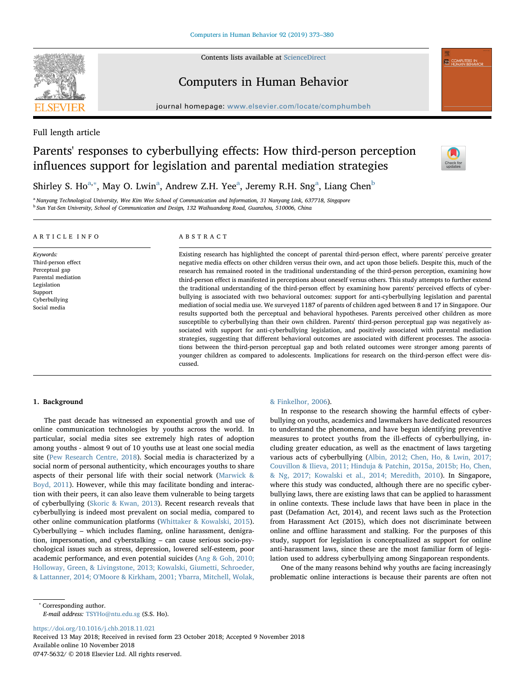Contents lists available at [ScienceDirect](http://www.sciencedirect.com/science/journal/07475632)



## Computers in Human Behavior

journal homepage: [www.elsevier.com/locate/comphumbeh](https://www.elsevier.com/locate/comphumbeh)

Full length article

# Parents' responses to cyberbullying effects: How third-person perception influences support for legislation and parental mediation strategies



**EL COMPUTERS IN** 

Shirley S. Ho $^{\mathrm{a},*}$  $^{\mathrm{a},*}$  $^{\mathrm{a},*}$ , May O. Lwin $^{\mathrm{a}}$ , Andrew Z.H. Yee $^{\mathrm{a}}$ , Jeremy R.H. Sng $^{\mathrm{a}}$ , Liang Chen $^{\mathrm{b}}$  $^{\mathrm{b}}$  $^{\mathrm{b}}$ 

<span id="page-0-2"></span><span id="page-0-0"></span><sup>a</sup> Nanyang Technological University, Wee Kim Wee School of Communication and Information, 31 Nanyang Link, 637718, Singapore <sup>b</sup> Sun Yat-Sen University, School of Communication and Design, 132 Waihuandong Road, Guanzhou, 510006, China

## ARTICLE INFO

Keywords: Third-person effect Perceptual gap Parental mediation Legislation Support Cyberbullying Social media

## ABSTRACT

Existing research has highlighted the concept of parental third-person effect, where parents' perceive greater negative media effects on other children versus their own, and act upon those beliefs. Despite this, much of the research has remained rooted in the traditional understanding of the third-person perception, examining how third-person effect is manifested in perceptions about oneself versus others. This study attempts to further extend the traditional understanding of the third-person effect by examining how parents' perceived effects of cyberbullying is associated with two behavioral outcomes: support for anti-cyberbullying legislation and parental mediation of social media use. We surveyed 1187 of parents of children aged between 8 and 17 in Singapore. Our results supported both the perceptual and behavioral hypotheses. Parents perceived other children as more susceptible to cyberbullying than their own children. Parents' third-person perceptual gap was negatively associated with support for anti-cyberbullying legislation, and positively associated with parental mediation strategies, suggesting that different behavioral outcomes are associated with different processes. The associations between the third-person perceptual gap and both related outcomes were stronger among parents of younger children as compared to adolescents. Implications for research on the third-person effect were discussed.

## 1. Background

The past decade has witnessed an exponential growth and use of online communication technologies by youths across the world. In particular, social media sites see extremely high rates of adoption among youths - almost 9 out of 10 youths use at least one social media site [\(Pew Research Centre, 2018\)](#page-7-0). Social media is characterized by a social norm of personal authenticity, which encourages youths to share aspects of their personal life with their social network [\(Marwick &](#page-6-0) [Boyd, 2011\)](#page-6-0). However, while this may facilitate bonding and interaction with their peers, it can also leave them vulnerable to being targets of cyberbullying [\(Skoric & Kwan, 2013\)](#page-7-1). Recent research reveals that cyberbullying is indeed most prevalent on social media, compared to other online communication platforms ([Whittaker & Kowalski, 2015](#page-7-2)). Cyberbullying – which includes flaming, online harassment, denigration, impersonation, and cyberstalking – can cause serious socio-psychological issues such as stress, depression, lowered self-esteem, poor academic performance, and even potential suicides ([Ang & Goh, 2010;](#page-6-1) [Holloway, Green, & Livingstone, 2013; Kowalski, Giumetti, Schroeder,](#page-6-1) [& Lattanner, 2014; O'Moore & Kirkham, 2001; Ybarra, Mitchell, Wolak,](#page-6-1)

#### [& Finkelhor, 2006](#page-6-1)).

In response to the research showing the harmful effects of cyberbullying on youths, academics and lawmakers have dedicated resources to understand the phenomena, and have begun identifying preventive measures to protect youths from the ill-effects of cyberbullying, including greater education, as well as the enactment of laws targeting various acts of cyberbullying ([Albin, 2012; Chen, Ho, & Lwin, 2017;](#page-6-2) [Couvillon & Ilieva, 2011; Hinduja & Patchin, 2015a, 2015b; Ho, Chen,](#page-6-2) [& Ng, 2017; Kowalski et al., 2014; Meredith, 2010\)](#page-6-2). In Singapore, where this study was conducted, although there are no specific cyberbullying laws, there are existing laws that can be applied to harassment in online contexts. These include laws that have been in place in the past (Defamation Act, 2014), and recent laws such as the Protection from Harassment Act (2015), which does not discriminate between online and offline harassment and stalking. For the purposes of this study, support for legislation is conceptualized as support for online anti-harassment laws, since these are the most familiar form of legislation used to address cyberbullying among Singaporean respondents.

One of the many reasons behind why youths are facing increasingly problematic online interactions is because their parents are often not

E-mail address: [TSYHo@ntu.edu.sg](mailto:TSYHo@ntu.edu.sg) (S.S. Ho).

<https://doi.org/10.1016/j.chb.2018.11.021> Received 13 May 2018; Received in revised form 23 October 2018; Accepted 9 November 2018 Available online 10 November 2018 0747-5632/ © 2018 Elsevier Ltd. All rights reserved.

<span id="page-0-1"></span><sup>∗</sup> Corresponding author.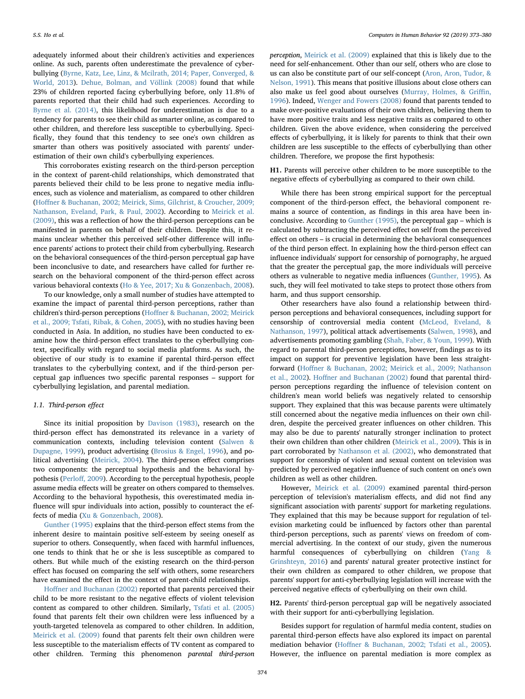adequately informed about their children's activities and experiences online. As such, parents often underestimate the prevalence of cyberbullying ([Byrne, Katz, Lee, Linz, & Mcilrath, 2014; Paper, Converged, &](#page-6-3) [World, 2013](#page-6-3)). [Dehue, Bolman, and Völlink \(2008\)](#page-6-4) found that while 23% of children reported facing cyberbullying before, only 11.8% of parents reported that their child had such experiences. According to [Byrne et al. \(2014\)](#page-6-3), this likelihood for underestimation is due to a tendency for parents to see their child as smarter online, as compared to other children, and therefore less susceptible to cyberbullying. Specifically, they found that this tendency to see one's own children as smarter than others was positively associated with parents' underestimation of their own child's cyberbullying experiences.

This corroborates existing research on the third-person perception in the context of parent-child relationships, which demonstrated that parents believed their child to be less prone to negative media influences, such as violence and materialism, as compared to other children (Hoff[ner & Buchanan, 2002; Meirick, Sims, Gilchrist, & Croucher, 2009;](#page-6-5) [Nathanson, Eveland, Park, & Paul, 2002](#page-6-5)). According to [Meirick et al.](#page-6-6) [\(2009\),](#page-6-6) this was a reflection of how the third-person perceptions can be manifested in parents on behalf of their children. Despite this, it remains unclear whether this perceived self-other difference will influence parents' actions to protect their child from cyberbullying. Research on the behavioral consequences of the third-person perceptual gap have been inconclusive to date, and researchers have called for further research on the behavioral component of the third-person effect across various behavioral contexts [\(Ho & Yee, 2017; Xu & Gonzenbach, 2008](#page-6-7)).

To our knowledge, only a small number of studies have attempted to examine the impact of parental third-person perceptions, rather than children's third-person perceptions (Hoff[ner & Buchanan, 2002; Meirick](#page-6-5) [et al., 2009; Tsfati, Ribak, & Cohen, 2005\)](#page-6-5), with no studies having been conducted in Asia. In addition, no studies have been conducted to examine how the third-person effect translates to the cyberbullying context, specifically with regard to social media platforms. As such, the objective of our study is to examine if parental third-person effect translates to the cyberbullying context, and if the third-person perceptual gap influences two specific parental responses – support for cyberbullying legislation, and parental mediation.

## 1.1. Third-person effect

Since its initial proposition by [Davison \(1983\)](#page-6-8), research on the third-person effect has demonstrated its relevance in a variety of communication contexts, including television content ([Salwen &](#page-7-3) [Dupagne, 1999\)](#page-7-3), product advertising ([Brosius & Engel, 1996\)](#page-6-9), and political advertising [\(Meirick, 2004\)](#page-6-10). The third-person effect comprises two components: the perceptual hypothesis and the behavioral hypothesis (Perloff[, 2009](#page-7-4)). According to the perceptual hypothesis, people assume media effects will be greater on others compared to themselves. According to the behavioral hypothesis, this overestimated media influence will spur individuals into action, possibly to counteract the effects of media [\(Xu & Gonzenbach, 2008\)](#page-7-5).

[Gunther \(1995\)](#page-6-11) explains that the third-person effect stems from the inherent desire to maintain positive self-esteem by seeing oneself as superior to others. Consequently, when faced with harmful influences, one tends to think that he or she is less susceptible as compared to others. But while much of the existing research on the third-person effect has focused on comparing the self with others, some researchers have examined the effect in the context of parent-child relationships.

Hoff[ner and Buchanan \(2002\)](#page-6-5) reported that parents perceived their child to be more resistant to the negative effects of violent television content as compared to other children. Similarly, [Tsfati et al. \(2005\)](#page-7-6) found that parents felt their own children were less influenced by a youth-targeted telenovela as compared to other children. In addition, [Meirick et al. \(2009\)](#page-6-6) found that parents felt their own children were less susceptible to the materialism effects of TV content as compared to other children. Terming this phenomenon parental third-person

perception, [Meirick et al. \(2009\)](#page-6-6) explained that this is likely due to the need for self-enhancement. Other than our self, others who are close to us can also be constitute part of our self-concept ([Aron, Aron, Tudor, &](#page-6-12) [Nelson, 1991\)](#page-6-12). This means that positive illusions about close others can also make us feel good about ourselves ([Murray, Holmes, & Gri](#page-6-13)ffin, [1996\)](#page-6-13). Indeed, [Wenger and Fowers \(2008\)](#page-7-7) found that parents tended to make over-positive evaluations of their own children, believing them to have more positive traits and less negative traits as compared to other children. Given the above evidence, when considering the perceived effects of cyberbullying, it is likely for parents to think that their own children are less susceptible to the effects of cyberbullying than other children. Therefore, we propose the first hypothesis:

<span id="page-1-0"></span>H1. Parents will perceive other children to be more susceptible to the negative effects of cyberbullying as compared to their own child.

While there has been strong empirical support for the perceptual component of the third-person effect, the behavioral component remains a source of contention, as findings in this area have been inconclusive. According to [Gunther \(1995\)](#page-6-11), the perceptual gap – which is calculated by subtracting the perceived effect on self from the perceived effect on others – is crucial in determining the behavioral consequences of the third person effect. In explaining how the third-person effect can influence individuals' support for censorship of pornography, he argued that the greater the perceptual gap, the more individuals will perceive others as vulnerable to negative media influences [\(Gunther, 1995](#page-6-11)). As such, they will feel motivated to take steps to protect those others from harm, and thus support censorship.

Other researchers have also found a relationship between thirdperson perceptions and behavioral consequences, including support for censorship of controversial media content [\(McLeod, Eveland, &](#page-6-14) [Nathanson, 1997](#page-6-14)), political attack advertisements ([Salwen, 1998\)](#page-7-8), and advertisements promoting gambling ([Shah, Faber, & Youn, 1999](#page-7-9)). With regard to parental third-person perceptions, however, findings as to its impact on support for preventive legislation have been less straightforward (Hoff[ner & Buchanan, 2002; Meirick et al., 2009; Nathanson](#page-6-5) [et al., 2002\)](#page-6-5). Hoff[ner and Buchanan \(2002\)](#page-6-5) found that parental thirdperson perceptions regarding the influence of television content on children's mean world beliefs was negatively related to censorship support. They explained that this was because parents were ultimately still concerned about the negative media influences on their own children, despite the perceived greater influences on other children. This may also be due to parents' naturally stronger inclination to protect their own children than other children [\(Meirick et al., 2009\)](#page-6-6). This is in part corroborated by [Nathanson et al. \(2002\)](#page-6-15), who demonstrated that support for censorship of violent and sexual content on television was predicted by perceived negative influence of such content on one's own children as well as other children.

However, [Meirick et al. \(2009\)](#page-6-6) examined parental third-person perception of television's materialism effects, and did not find any significant association with parents' support for marketing regulations. They explained that this may be because support for regulation of television marketing could be influenced by factors other than parental third-person perceptions, such as parents' views on freedom of commercial advertising. In the context of our study, given the numerous harmful consequences of cyberbullying on children [\(Yang &](#page-7-10) [Grinshteyn, 2016\)](#page-7-10) and parents' natural greater protective instinct for their own children as compared to other children, we propose that parents' support for anti-cyberbullying legislation will increase with the perceived negative effects of cyberbullying on their own child.

<span id="page-1-1"></span>H2. Parents' third-person perceptual gap will be negatively associated with their support for anti-cyberbullying legislation.

Besides support for regulation of harmful media content, studies on parental third-person effects have also explored its impact on parental mediation behavior (Hoff[ner & Buchanan, 2002; Tsfati et al., 2005](#page-6-5)). However, the influence on parental mediation is more complex as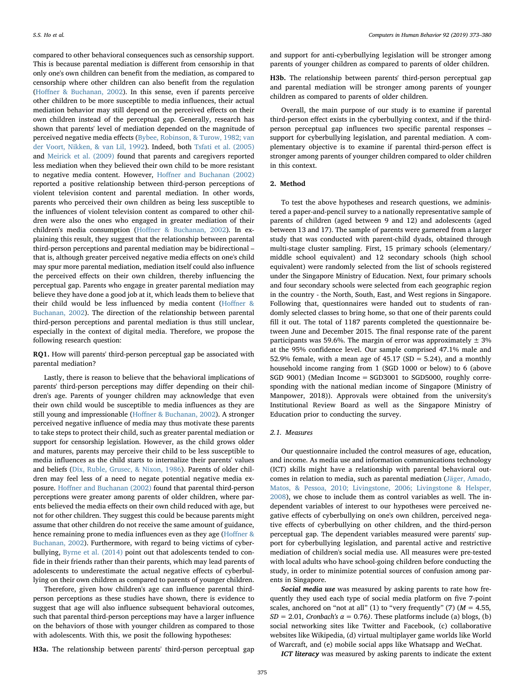compared to other behavioral consequences such as censorship support. This is because parental mediation is different from censorship in that only one's own children can benefit from the mediation, as compared to censorship where other children can also benefit from the regulation (Hoff[ner & Buchanan, 2002](#page-6-5)). In this sense, even if parents perceive other children to be more susceptible to media influences, their actual mediation behavior may still depend on the perceived effects on their own children instead of the perceptual gap. Generally, research has shown that parents' level of mediation depended on the magnitude of perceived negative media effects ([Bybee, Robinson, & Turow, 1982; van](#page-6-16) [der Voort, Nikken, & van Lil, 1992](#page-6-16)). Indeed, both [Tsfati et al. \(2005\)](#page-7-6) and [Meirick et al. \(2009\)](#page-6-6) found that parents and caregivers reported less mediation when they believed their own child to be more resistant to negative media content. However, Hoff[ner and Buchanan \(2002\)](#page-6-5) reported a positive relationship between third-person perceptions of violent television content and parental mediation. In other words, parents who perceived their own children as being less susceptible to the influences of violent television content as compared to other children were also the ones who engaged in greater mediation of their children's media consumption (Hoff[ner & Buchanan, 2002\)](#page-6-5). In explaining this result, they suggest that the relationship between parental third-person perceptions and parental mediation may be bidirectional – that is, although greater perceived negative media effects on one's child may spur more parental mediation, mediation itself could also influence the perceived effects on their own children, thereby influencing the perceptual gap. Parents who engage in greater parental mediation may believe they have done a good job at it, which leads them to believe that their child would be less influenced by media content (Hoff[ner &](#page-6-5) [Buchanan, 2002\)](#page-6-5). The direction of the relationship between parental third-person perceptions and parental mediation is thus still unclear, especially in the context of digital media. Therefore, we propose the following research question:

RQ1. How will parents' third-person perceptual gap be associated with parental mediation?

Lastly, there is reason to believe that the behavioral implications of parents' third-person perceptions may differ depending on their children's age. Parents of younger children may acknowledge that even their own child would be susceptible to media influences as they are still young and impressionable (Hoff[ner & Buchanan, 2002\)](#page-6-5). A stronger perceived negative influence of media may thus motivate these parents to take steps to protect their child, such as greater parental mediation or support for censorship legislation. However, as the child grows older and matures, parents may perceive their child to be less susceptible to media influences as the child starts to internalize their parents' values and beliefs ([Dix, Ruble, Grusec, & Nixon, 1986\)](#page-6-17). Parents of older children may feel less of a need to negate potential negative media exposure. Hoff[ner and Buchanan \(2002\)](#page-6-5) found that parental third-person perceptions were greater among parents of older children, where parents believed the media effects on their own child reduced with age, but not for other children. They suggest this could be because parents might assume that other children do not receive the same amount of guidance, hence remaining prone to media influences even as they age (Hoff[ner &](#page-6-5) [Buchanan, 2002](#page-6-5)). Furthermore, with regard to being victims of cyberbullying, [Byrne et al. \(2014\)](#page-6-3) point out that adolescents tended to confide in their friends rather than their parents, which may lead parents of adolescents to underestimate the actual negative effects of cyberbullying on their own children as compared to parents of younger children.

Therefore, given how children's age can influence parental thirdperson perceptions as these studies have shown, there is evidence to suggest that age will also influence subsequent behavioral outcomes, such that parental third-person perceptions may have a larger influence on the behaviors of those with younger children as compared to those with adolescents. With this, we posit the following hypotheses:

H3a. The relationship between parents' third-person perceptual gap

and support for anti-cyberbullying legislation will be stronger among parents of younger children as compared to parents of older children.

H3b. The relationship between parents' third-person perceptual gap and parental mediation will be stronger among parents of younger children as compared to parents of older children.

Overall, the main purpose of our study is to examine if parental third-person effect exists in the cyberbullying context, and if the thirdperson perceptual gap influences two specific parental responses – support for cyberbullying legislation, and parental mediation. A complementary objective is to examine if parental third-person effect is stronger among parents of younger children compared to older children in this context.

## 2. Method

To test the above hypotheses and research questions, we administered a paper-and-pencil survey to a nationally representative sample of parents of children (aged between 9 and 12) and adolescents (aged between 13 and 17). The sample of parents were garnered from a larger study that was conducted with parent-child dyads, obtained through multi-stage cluster sampling. First, 15 primary schools (elementary/ middle school equivalent) and 12 secondary schools (high school equivalent) were randomly selected from the list of schools registered under the Singapore Ministry of Education. Next, four primary schools and four secondary schools were selected from each geographic region in the country - the North, South, East, and West regions in Singapore. Following that, questionnaires were handed out to students of randomly selected classes to bring home, so that one of their parents could fill it out. The total of 1187 parents completed the questionnaire between June and December 2015. The final response rate of the parent participants was 59.6%. The margin of error was approximately  $\pm$  3% at the 95% confidence level. Our sample comprised 47.1% male and 52.9% female, with a mean age of  $45.17$  (SD = 5.24), and a monthly household income ranging from 1 (SGD 1000 or below) to 6 (above SGD 9001) (Median Income = SGD3001 to SGD5000, roughly corresponding with the national median income of Singapore (Ministry of Manpower, 2018)). Approvals were obtained from the university's Institutional Review Board as well as the Singapore Ministry of Education prior to conducting the survey.

### 2.1. Measures

Our questionnaire included the control measures of age, education, and income. As media use and information communications technology (ICT) skills might have a relationship with parental behavioral outcomes in relation to media, such as parental mediation ([Jäger, Amado,](#page-6-18) [Matos, & Pessoa, 2010; Livingstone, 2006; Livingstone & Helsper,](#page-6-18) [2008\)](#page-6-18), we chose to include them as control variables as well. The independent variables of interest to our hypotheses were perceived negative effects of cyberbullying on one's own children, perceived negative effects of cyberbullying on other children, and the third-person perceptual gap. The dependent variables measured were parents' support for cyberbullying legislation, and parental active and restrictive mediation of children's social media use. All measures were pre-tested with local adults who have school-going children before conducting the study, in order to minimize potential sources of confusion among parents in Singapore.

Social media use was measured by asking parents to rate how frequently they used each type of social media platform on five 7-point scales, anchored on "not at all" (1) to "very frequently" (7) ( $M = 4.55$ ,  $SD = 2.01$ , Cronbach's  $\alpha = 0.76$ ). These platforms include (a) blogs, (b) social networking sites like Twitter and Facebook, (c) collaborative websites like Wikipedia, (d) virtual multiplayer game worlds like World of Warcraft, and (e) mobile social apps like Whatsapp and WeChat.

ICT literacy was measured by asking parents to indicate the extent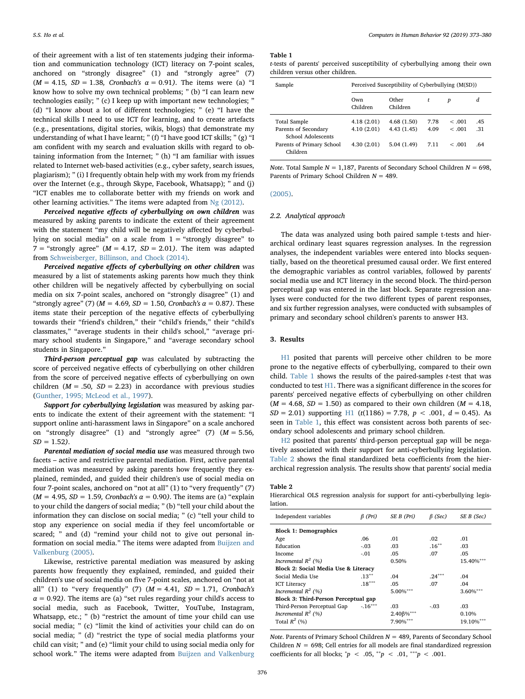of their agreement with a list of ten statements judging their information and communication technology (ICT) literacy on 7-point scales, anchored on "strongly disagree" (1) and "strongly agree" (7)  $(M = 4.15, SD = 1.38, Cronbach's \alpha = 0.91)$ . The items were (a) "I know how to solve my own technical problems; " (b) "I can learn new technologies easily; " (c) I keep up with important new technologies; " (d) "I know about a lot of different technologies; " (e) "I have the technical skills I need to use ICT for learning, and to create artefacts (e.g., presentations, digital stories, wikis, blogs) that demonstrate my understanding of what I have learnt; " (f) "I have good ICT skills; " (g) "I am confident with my search and evaluation skills with regard to obtaining information from the Internet; " (h) "I am familiar with issues related to Internet web-based activities (e.g., cyber safety, search issues, plagiarism); " (i) I frequently obtain help with my work from my friends over the Internet (e.g., through Skype, Facebook, Whatsapp); " and (j) "ICT enables me to collaborate better with my friends on work and other learning activities." The items were adapted from [Ng \(2012\)](#page-6-19).

Perceived negative effects of cyberbullying on own children was measured by asking parents to indicate the extent of their agreement with the statement "my child will be negatively affected by cyberbullying on social media" on a scale from  $1 =$  "strongly disagree" to 7 = "strongly agree" ( $M = 4.17$ ,  $SD = 2.01$ ). The item was adapted from [Schweisberger, Billinson, and Chock \(2014\).](#page-7-11)

Perceived negative effects of cyberbullying on other children was measured by a list of statements asking parents how much they think other children will be negatively affected by cyberbullying on social media on six 7-point scales, anchored on "strongly disagree" (1) and "strongly agree" (7) ( $M = 4.69$ ,  $SD = 1.50$ , Cronbach's  $\alpha = 0.87$ ). These items state their perception of the negative effects of cyberbullying towards their "friend's children," their "child's friends," their "child's classmates," "average students in their child's school," "average primary school students in Singapore," and "average secondary school students in Singapore."

Third-person perceptual gap was calculated by subtracting the score of perceived negative effects of cyberbullying on other children from the score of perceived negative effects of cyberbullying on own children ( $M = .50$ ,  $SD = 2.23$ ) in accordance with previous studies ([Gunther, 1995; McLeod et al., 1997](#page-6-11)).

Support for cyberbullying legislation was measured by asking parents to indicate the extent of their agreement with the statement: "I support online anti-harassment laws in Singapore" on a scale anchored on "strongly disagree" (1) and "strongly agree" (7)  $(M = 5.56,$  $SD = 1.52$ ).

Parental mediation of social media use was measured through two facets – active and restrictive parental mediation. First, active parental mediation was measured by asking parents how frequently they explained, reminded, and guided their children's use of social media on four 7-point scales, anchored on "not at all" (1) to "very frequently" (7)  $(M = 4.95, SD = 1.59, Cronbach's \alpha = 0.90)$ . The items are (a) "explain to your child the dangers of social media; " (b) "tell your child about the information they can disclose on social media; " (c) "tell your child to stop any experience on social media if they feel uncomfortable or scared; " and (d) "remind your child not to give out personal information on social media." The items were adapted from [Buijzen and](#page-6-20) [Valkenburg \(2005\).](#page-6-20)

Likewise, restrictive parental mediation was measured by asking parents how frequently they explained, reminded, and guided their children's use of social media on five 7-point scales, anchored on "not at all" (1) to "very frequently" (7)  $(M = 4.41, SD = 1.71, Cronbach's$  $\alpha$  = 0.92). The items are (a) "set rules regarding your child's access to social media, such as Facebook, Twitter, YouTube, Instagram, Whatsapp, etc.; " (b) "restrict the amount of time your child can use social media; " (c) "limit the kind of activities your child can do on social media; " (d) "restrict the type of social media platforms your child can visit; " and (e) "limit your child to using social media only for school work." The items were adapted from [Buijzen and Valkenburg](#page-6-20)

#### <span id="page-3-0"></span>Table 1

|  |                                 |  | t-tests of parents' perceived susceptibility of cyberbullying among their own |  |  |
|--|---------------------------------|--|-------------------------------------------------------------------------------|--|--|
|  | children versus other children. |  |                                                                               |  |  |

| Sample                                                     | Perceived Susceptibility of Cyberbullying (M(SD)) |                          |              |                  |            |  |  |
|------------------------------------------------------------|---------------------------------------------------|--------------------------|--------------|------------------|------------|--|--|
|                                                            | Own<br>Children                                   | Other<br>Children        | t            | $\boldsymbol{p}$ | d          |  |  |
| Total Sample<br>Parents of Secondary<br>School Adolescents | 4.18(2.01)<br>4.10(2.01)                          | 4.68(1.50)<br>4.43(1.45) | 7.78<br>4.09 | < .001<br>< .001 | .45<br>.31 |  |  |
| Parents of Primary School<br>Children                      | 4.30(2.01)                                        | 5.04 (1.49)              | 7.11         | < 0.001          | .64        |  |  |

Note. Total Sample  $N = 1,187$ , Parents of Secondary School Children  $N = 698$ , Parents of Primary School Children  $N = 489$ .

#### [\(2005\).](#page-6-20)

## 2.2. Analytical approach

The data was analyzed using both paired sample t-tests and hierarchical ordinary least squares regression analyses. In the regression analyses, the independent variables were entered into blocks sequentially, based on the theoretical presumed causal order. We first entered the demographic variables as control variables, followed by parents' social media use and ICT literacy in the second block. The third-person perceptual gap was entered in the last block. Separate regression analyses were conducted for the two different types of parent responses, and six further regression analyses, were conducted with subsamples of primary and secondary school children's parents to answer H3.

#### 3. Results

[H1](#page-1-0) posited that parents will perceive other children to be more prone to the negative effects of cyberbullying, compared to their own child. [Table 1](#page-3-0) shows the results of the paired-samples  $t$ -test that was conducted to test [H1.](#page-1-0) There was a significant difference in the scores for parents' perceived negative effects of cyberbullying on other children  $(M = 4.68, SD = 1.50)$  as compared to their own children  $(M = 4.18,$  $SD = 2.01$ ) supporting [H1](#page-1-0) (t(1186) = 7.78, p < .001, d = 0.45). As seen in [Table 1](#page-3-0), this effect was consistent across both parents of secondary school adolescents and primary school children.

[H2](#page-1-1) posited that parents' third-person perceptual gap will be negatively associated with their support for anti-cyberbullying legislation. [Table 2](#page-3-1) shows the final standardized beta coefficients from the hierarchical regression analysis. The results show that parents' social media

#### <span id="page-3-1"></span>Table 2

Hierarchical OLS regression analysis for support for anti-cyberbullying legislation.

| Independent variables                | $\beta$ (Pri) | SE B (Pri)         | $\beta$ (Sec) | SE B (Sec)  |  |  |  |  |
|--------------------------------------|---------------|--------------------|---------------|-------------|--|--|--|--|
| <b>Block 1: Demographics</b>         |               |                    |               |             |  |  |  |  |
| Age                                  | .06           | .01                | .02           | .01         |  |  |  |  |
| Education                            | $-.03$        | .03                | $.16***$      | .03         |  |  |  |  |
| Income                               | $-.01$        | .05                | .07           | .05         |  |  |  |  |
| Incremental $R^2$ (%)                |               | 0.50%              |               | 15.40%***   |  |  |  |  |
| Block 2: Social Media Use & Literacy |               |                    |               |             |  |  |  |  |
| Social Media Use                     | $.13***$      | .04                | $.24***$      | .04         |  |  |  |  |
| <b>ICT Literacy</b>                  | $.18***$      | .05                | .07           | .04         |  |  |  |  |
| Incremental $R^2$ (%)                |               | $5.00\%***$        |               | $3.60\%***$ |  |  |  |  |
| Block 3: Third-Person Perceptual gap |               |                    |               |             |  |  |  |  |
| Third-Person Perceptual Gap          | $-16***$      | .03                | $-.03$        | .03         |  |  |  |  |
| Incremental $R^2$ (%)                |               | 2.40 $\beta\%$ *** |               | 0.10%       |  |  |  |  |
| Total $R^2$ (%)                      |               | 7.90%***           |               | 19.10%      |  |  |  |  |

Note. Parents of Primary School Children  $N = 489$ , Parents of Secondary School Children  $N = 698$ ; Cell entries for all models are final standardized regression coefficients for all blocks; \*p < .05, \*\*p < .01, \*\*\*p < .001.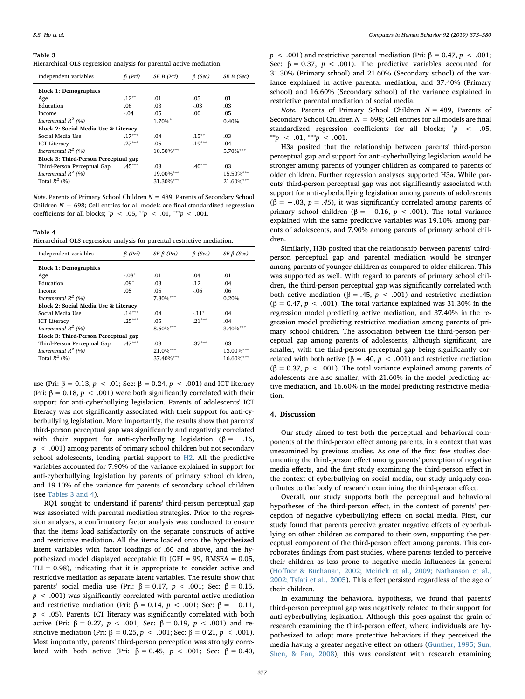#### <span id="page-4-0"></span>Table 3

| Hierarchical OLS regression analysis for parental active mediation. |  |  |  |  |  |  |  |
|---------------------------------------------------------------------|--|--|--|--|--|--|--|
|---------------------------------------------------------------------|--|--|--|--|--|--|--|

| Independent variables                | $\beta$ (Pri) | SE B (Pri) | $\beta$ (Sec) | SE B (Sec)    |  |  |  |  |
|--------------------------------------|---------------|------------|---------------|---------------|--|--|--|--|
| <b>Block 1: Demographics</b>         |               |            |               |               |  |  |  |  |
| Age                                  | $.12***$      | .01        | .05           | .01           |  |  |  |  |
| Education                            | .06           | .03        | $-.03$        | .03           |  |  |  |  |
| Income                               | $-.04$        | .05        | .00.          | .05           |  |  |  |  |
| Incremental $R^2$ (%)                |               | 1.70%*     |               | 0.40%         |  |  |  |  |
| Block 2: Social Media Use & Literacy |               |            |               |               |  |  |  |  |
| Social Media Use                     | $.17***$      | .04        | $.15***$      | .03           |  |  |  |  |
| <b>ICT</b> Literacy                  | $.27***$      | .05        | $19***$       | .04           |  |  |  |  |
| Incremental $R^2$ (%)                |               | 10.50%***  |               | 5.70%***      |  |  |  |  |
| Block 3: Third-Person Perceptual gap |               |            |               |               |  |  |  |  |
| Third-Person Perceptual Gap          | $.45***$      | .03        | $.40***$      | .03           |  |  |  |  |
| Incremental $R^2$ (%)                |               | 19.00%***  |               | $15.50\%$ $*$ |  |  |  |  |
| Total $R^2$ (%)                      |               | 31.30%***  |               | $21.60\%$ **  |  |  |  |  |
|                                      |               |            |               |               |  |  |  |  |

Note. Parents of Primary School Children  $N = 489$ , Parents of Secondary School Children  $N = 698$ : Cell entries for all models are final standardized regression coefficients for all blocks;  ${}^*p < .05, {}^{**}p < .01, {}^{***}p < .001$ .

#### Table 4

Hierarchical OLS regression analysis for parental restrictive mediation.

| Independent variables                | $\beta$ (Pri) | $SE \beta$ (Pri) | $\beta$ (Sec) | $SE \beta$ (Sec) |  |  |  |  |
|--------------------------------------|---------------|------------------|---------------|------------------|--|--|--|--|
| <b>Block 1: Demographics</b>         |               |                  |               |                  |  |  |  |  |
| Age                                  | $-.08*$       | .01              | .04           | .01              |  |  |  |  |
| Education                            | $.09*$        | .03              | .12           | .04              |  |  |  |  |
| Income                               | .05           | .05              | $-06$         | .06              |  |  |  |  |
| Incremental $R^2$ (%)                |               | 7.80%***         |               | 0.20%            |  |  |  |  |
| Block 2: Social Media Use & Literacy |               |                  |               |                  |  |  |  |  |
| Social Media Use                     | $.14***$      | .04              | $-11*$        | .04              |  |  |  |  |
| <b>ICT Literacy</b>                  | $.25***$      | .05              | $.21***$      | .04              |  |  |  |  |
| Incremental $R^2$ (%)                |               | $8.60\%***$      |               | $3.40\%***$      |  |  |  |  |
| Block 3: Third-Person Perceptual gap |               |                  |               |                  |  |  |  |  |
| Third-Person Perceptual Gap          | $.47***$      | .03              | $.37***$      | .03              |  |  |  |  |
| Incremental $R^2$ (%)                |               | 21.0%***         |               | 13.00%***        |  |  |  |  |
| Total $R^2$ (%)                      |               | 37.40%***        |               | $16.60\%***$     |  |  |  |  |

use (Pri: β = 0.13, *p* < .01; Sec: β = 0.24, *p* < .001) and ICT literacy (Pri:  $\beta = 0.18$ ,  $p < .001$ ) were both significantly correlated with their support for anti-cyberbullying legislation. Parents of adolescents' ICT literacy was not significantly associated with their support for anti-cyberbullying legislation. More importantly, the results show that parents' third-person perceptual gap was significantly and negatively correlated with their support for anti-cyberbullying legislation ( $\beta = -.16$ ,  $p < .001$ ) among parents of primary school children but not secondary school adolescents, lending partial support to [H2.](#page-1-1) All the predictive variables accounted for 7.90% of the variance explained in support for anti-cyberbullying legislation by parents of primary school children, and 19.10% of the variance for parents of secondary school children (see [Tables 3 and 4\)](#page-4-0).

RQ1 sought to understand if parents' third-person perceptual gap was associated with parental mediation strategies. Prior to the regression analyses, a confirmatory factor analysis was conducted to ensure that the items load satisfactorily on the separate constructs of active and restrictive mediation. All the items loaded onto the hypothesized latent variables with factor loadings of .60 and above, and the hypothesized model displayed acceptable fit (GFI = 99, RMSEA = 0.05,  $TLI = 0.98$ ), indicating that it is appropriate to consider active and restrictive mediation as separate latent variables. The results show that parents' social media use (Pri: β = 0.17,  $p$  < .001; Sec: β = 0.15,  $p < .001$ ) was significantly correlated with parental active mediation and restrictive mediation (Pri: β = 0.14,  $p$  < .001; Sec: β = -0.11,  $p < .05$ ). Parents' ICT literacy was significantly correlated with both active (Pri: β = 0.27,  $p < .001$ ; Sec: β = 0.19,  $p < .001$ ) and restrictive mediation (Pri: β = 0.25, p < .001; Sec: β = 0.21, p < .001). Most importantly, parents' third-person perception was strongly correlated with both active (Pri: β = 0.45,  $p < .001$ ; Sec: β = 0.40,

p < .001) and restrictive parental mediation (Pri: β = 0.47, p < .001; Sec:  $β = 0.37$ ,  $p < .001$ ). The predictive variables accounted for 31.30% (Primary school) and 21.60% (Secondary school) of the variance explained in active parental mediation, and 37.40% (Primary school) and 16.60% (Secondary school) of the variance explained in restrictive parental mediation of social media.

Note. Parents of Primary School Children  $N = 489$ , Parents of Secondary School Children  $N = 698$ ; Cell entries for all models are final standardized regression coefficients for all blocks;  $\dot{p}$  < .05,  $*$ <sup>\*</sup>*p* < .01,  $*$ <sup>\*</sup>*\*p* < .001.

H3a posited that the relationship between parents' third-person perceptual gap and support for anti-cyberbullying legislation would be stronger among parents of younger children as compared to parents of older children. Further regression analyses supported H3a. While parents' third-person perceptual gap was not significantly associated with support for anti-cyberbullying legislation among parents of adolescents ( $\beta$  = -.03, *p* = .45), it was significantly correlated among parents of primary school children (β = -0.16,  $p < .001$ ). The total variance explained with the same predictive variables was 19.10% among parents of adolescents, and 7.90% among parents of primary school children.

Similarly, H3b posited that the relationship between parents' thirdperson perceptual gap and parental mediation would be stronger among parents of younger children as compared to older children. This was supported as well. With regard to parents of primary school children, the third-person perceptual gap was significantly correlated with both active mediation (β = .45,  $p < .001$ ) and restrictive mediation (β = 0.47, *p* < .001). The total variance explained was 31.30% in the regression model predicting active mediation, and 37.40% in the regression model predicting restrictive mediation among parents of primary school children. The association between the third-person perceptual gap among parents of adolescents, although significant, are smaller, with the third-person perceptual gap being significantly correlated with both active (β = .40,  $p < .001$ ) and restrictive mediation (β = 0.37, *p* < .001). The total variance explained among parents of adolescents are also smaller, with 21.60% in the model predicting active mediation, and 16.60% in the model predicting restrictive mediation.

#### 4. Discussion

Our study aimed to test both the perceptual and behavioral components of the third-person effect among parents, in a context that was unexamined by previous studies. As one of the first few studies documenting the third-person effect among parents' perception of negative media effects, and the first study examining the third-person effect in the context of cyberbullying on social media, our study uniquely contributes to the body of research examining the third-person effect.

Overall, our study supports both the perceptual and behavioral hypotheses of the third-person effect, in the context of parents' perception of negative cyberbullying effects on social media. First, our study found that parents perceive greater negative effects of cyberbullying on other children as compared to their own, supporting the perceptual component of the third-person effect among parents. This corroborates findings from past studies, where parents tended to perceive their children as less prone to negative media influences in general (Hoff[ner & Buchanan, 2002; Meirick et al., 2009; Nathanson et al.,](#page-6-5) [2002; Tsfati et al., 2005\)](#page-6-5). This effect persisted regardless of the age of their children.

In examining the behavioral hypothesis, we found that parents' third-person perceptual gap was negatively related to their support for anti-cyberbullying legislation. Although this goes against the grain of research examining the third-person effect, where individuals are hypothesized to adopt more protective behaviors if they perceived the media having a greater negative effect on others ([Gunther, 1995; Sun,](#page-6-11) [Shen, & Pan, 2008](#page-6-11)), this was consistent with research examining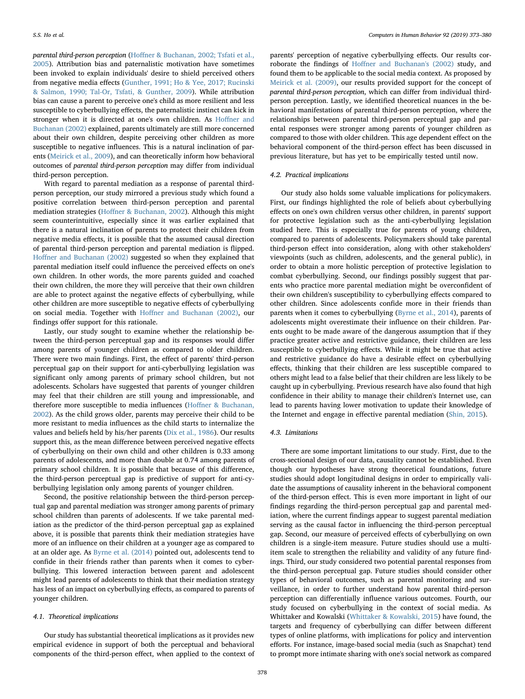parental third-person perception (Hoff[ner & Buchanan, 2002; Tsfati et al.,](#page-6-5) [2005\)](#page-6-5). Attribution bias and paternalistic motivation have sometimes been invoked to explain individuals' desire to shield perceived others from negative media effects [\(Gunther, 1991; Ho & Yee, 2017; Rucinski](#page-6-21) [& Salmon, 1990; Tal-Or, Tsfati, & Gunther, 2009\)](#page-6-21). While attribution bias can cause a parent to perceive one's child as more resilient and less susceptible to cyberbullying effects, the paternalistic instinct can kick in stronger when it is directed at one's own children. As Hoff[ner and](#page-6-5) [Buchanan \(2002\)](#page-6-5) explained, parents ultimately are still more concerned about their own children, despite perceiving other children as more susceptible to negative influences. This is a natural inclination of parents ([Meirick et al., 2009](#page-6-6)), and can theoretically inform how behavioral outcomes of parental third-person perception may differ from individual third-person perception.

With regard to parental mediation as a response of parental thirdperson perception, our study mirrored a previous study which found a positive correlation between third-person perception and parental mediation strategies (Hoff[ner & Buchanan, 2002\)](#page-6-5). Although this might seem counterintuitive, especially since it was earlier explained that there is a natural inclination of parents to protect their children from negative media effects, it is possible that the assumed causal direction of parental third-person perception and parental mediation is flipped. Hoff[ner and Buchanan \(2002\)](#page-6-5) suggested so when they explained that parental mediation itself could influence the perceived effects on one's own children. In other words, the more parents guided and coached their own children, the more they will perceive that their own children are able to protect against the negative effects of cyberbullying, while other children are more susceptible to negative effects of cyberbullying on social media. Together with Hoff[ner and Buchanan \(2002\)](#page-6-5), our findings offer support for this rationale.

Lastly, our study sought to examine whether the relationship between the third-person perceptual gap and its responses would differ among parents of younger children as compared to older children. There were two main findings. First, the effect of parents' third-person perceptual gap on their support for anti-cyberbullying legislation was significant only among parents of primary school children, but not adolescents. Scholars have suggested that parents of younger children may feel that their children are still young and impressionable, and therefore more susceptible to media influences (Hoff[ner & Buchanan,](#page-6-5) [2002\)](#page-6-5). As the child grows older, parents may perceive their child to be more resistant to media influences as the child starts to internalize the values and beliefs held by his/her parents ([Dix et al., 1986\)](#page-6-17). Our results support this, as the mean difference between perceived negative effects of cyberbullying on their own child and other children is 0.33 among parents of adolescents, and more than double at 0.74 among parents of primary school children. It is possible that because of this difference, the third-person perceptual gap is predictive of support for anti-cyberbullying legislation only among parents of younger children.

Second, the positive relationship between the third-person perceptual gap and parental mediation was stronger among parents of primary school children than parents of adolescents. If we take parental mediation as the predictor of the third-person perceptual gap as explained above, it is possible that parents think their mediation strategies have more of an influence on their children at a younger age as compared to at an older age. As [Byrne et al. \(2014\)](#page-6-3) pointed out, adolescents tend to confide in their friends rather than parents when it comes to cyberbullying. This lowered interaction between parent and adolescent might lead parents of adolescents to think that their mediation strategy has less of an impact on cyberbullying effects, as compared to parents of younger children.

#### 4.1. Theoretical implications

Our study has substantial theoretical implications as it provides new empirical evidence in support of both the perceptual and behavioral components of the third-person effect, when applied to the context of

parents' perception of negative cyberbullying effects. Our results corroborate the findings of Hoff[ner and Buchanan's \(2002\)](#page-6-5) study, and found them to be applicable to the social media context. As proposed by [Meirick et al. \(2009\),](#page-6-6) our results provided support for the concept of parental third-person perception, which can differ from individual thirdperson perception. Lastly, we identified theoretical nuances in the behavioral manifestations of parental third-person perception, where the relationships between parental third-person perceptual gap and parental responses were stronger among parents of younger children as compared to those with older children. This age dependent effect on the behavioral component of the third-person effect has been discussed in previous literature, but has yet to be empirically tested until now.

## 4.2. Practical implications

Our study also holds some valuable implications for policymakers. First, our findings highlighted the role of beliefs about cyberbullying effects on one's own children versus other children, in parents' support for protective legislation such as the anti-cyberbullying legislation studied here. This is especially true for parents of young children, compared to parents of adolescents. Policymakers should take parental third-person effect into consideration, along with other stakeholders' viewpoints (such as children, adolescents, and the general public), in order to obtain a more holistic perception of protective legislation to combat cyberbullying. Second, our findings possibly suggest that parents who practice more parental mediation might be overconfident of their own children's susceptibility to cyberbullying effects compared to other children. Since adolescents confide more in their friends than parents when it comes to cyberbullying ([Byrne et al., 2014\)](#page-6-3), parents of adolescents might overestimate their influence on their children. Parents ought to be made aware of the dangerous assumption that if they practice greater active and restrictive guidance, their children are less susceptible to cyberbullying effects. While it might be true that active and restrictive guidance do have a desirable effect on cyberbullying effects, thinking that their children are less susceptible compared to others might lead to a false belief that their children are less likely to be caught up in cyberbullying. Previous research have also found that high confidence in their ability to manage their children's Internet use, can lead to parents having lower motivation to update their knowledge of the Internet and engage in effective parental mediation ([Shin, 2015](#page-7-12)).

#### 4.3. Limitations

There are some important limitations to our study. First, due to the cross-sectional design of our data, causality cannot be established. Even though our hypotheses have strong theoretical foundations, future studies should adopt longitudinal designs in order to empirically validate the assumptions of causality inherent in the behavioral component of the third-person effect. This is even more important in light of our findings regarding the third-person perceptual gap and parental mediation, where the current findings appear to suggest parental mediation serving as the causal factor in influencing the third-person perceptual gap. Second, our measure of perceived effects of cyberbullying on own children is a single-item measure. Future studies should use a multiitem scale to strengthen the reliability and validity of any future findings. Third, our study considered two potential parental responses from the third-person perceptual gap. Future studies should consider other types of behavioral outcomes, such as parental monitoring and surveillance, in order to further understand how parental third-person perception can differentially influence various outcomes. Fourth, our study focused on cyberbullying in the context of social media. As Whittaker and Kowalski ([Whittaker & Kowalski, 2015\)](#page-7-2) have found, the targets and frequency of cyberbullying can differ between different types of online platforms, with implications for policy and intervention efforts. For instance, image-based social media (such as Snapchat) tend to prompt more intimate sharing with one's social network as compared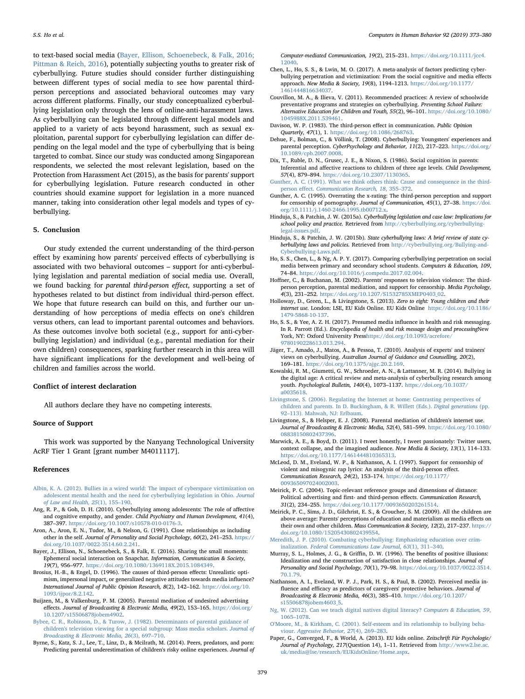to text-based social media [\(Bayer, Ellison, Schoenebeck, & Falk, 2016;](#page-6-22) [Pittman & Reich, 2016\)](#page-6-22), potentially subjecting youths to greater risk of cyberbullying. Future studies should consider further distinguishing between different types of social media to see how parental thirdperson perceptions and associated behavioral outcomes may vary across different platforms. Finally, our study conceptualized cyberbullying legislation only through the lens of online-anti-harassment laws. As cyberbullying can be legislated through different legal models and applied to a variety of acts beyond harassment, such as sexual exploitation, parental support for cyberbullying legislation can differ depending on the legal model and the type of cyberbullying that is being targeted to combat. Since our study was conducted among Singaporean respondents, we selected the most relevant legislation, based on the Protection from Harassment Act (2015), as the basis for parents' support for cyberbullying legislation. Future research conducted in other countries should examine support for legislation in a more nuanced manner, taking into consideration other legal models and types of cyberbullying.

#### 5. Conclusion

Our study extended the current understanding of the third-person effect by examining how parents' perceived effects of cyberbullying is associated with two behavioral outcomes – support for anti-cyberbullying legislation and parental mediation of social media use. Overall, we found backing for parental third-person effect, supporting a set of hypotheses related to but distinct from individual third-person effect. We hope that future research can build on this, and further our understanding of how perceptions of media effects on one's children versus others, can lead to important parental outcomes and behaviors. As these outcomes involve both societal (e.g., support for anti-cyberbullying legislation) and individual (e.g., parental mediation for their own children) consequences, sparking further research in this area will have significant implications for the development and well-being of children and families across the world.

## Conflict of interest declaration

All authors declare they have no competing interests.

## Source of Support

This work was supported by the Nanyang Technological University AcRF Tier 1 Grant [grant number M4011117].

#### References

- <span id="page-6-2"></span>[Albin, K. A. \(2012\). Bullies in a wired world: The impact of cyberspace victimization on](http://refhub.elsevier.com/S0747-5632(18)30556-9/sref1) [adolescent mental health and the need for cyberbullying legislation in Ohio.](http://refhub.elsevier.com/S0747-5632(18)30556-9/sref1) Journal [of Law and Health, 25](http://refhub.elsevier.com/S0747-5632(18)30556-9/sref1)(1), 155–190.
- <span id="page-6-1"></span>Ang, R. P., & Goh, D. H. (2010). Cyberbullying among adolescents: The role of affective and cognitive empathy, and gender. Child Psychiatry and Human Development, 41(4), 387–397. <https://doi.org/10.1007/s10578-010-0176-3>.
- <span id="page-6-12"></span>Aron, A., Aron, E. N., Tudor, M., & Nelson, G. (1991). Close relationships as including other in the self. Journal of Personality and Social Psychology, 60(2), 241–253. [https://](https://doi.org/10.1037/0022-3514.60.2.241) [doi.org/10.1037/0022-3514.60.2.241.](https://doi.org/10.1037/0022-3514.60.2.241)
- <span id="page-6-22"></span>Bayer, J., Ellison, N., Schoenebeck, S., & Falk, E. (2016). Sharing the small moments: Ephemeral social interaction on Snapchat. Information, Communication & Society, 19(7), 956–977. [https://doi.org/10.1080/1369118X.2015.1084349.](https://doi.org/10.1080/1369118X.2015.1084349)
- <span id="page-6-9"></span>Brosius, H.-B., & Engel, D. (1996). The causes of third-person effects: Unrealistic optimism, impersonal impact, or generalized negative attitudes towards media influence? International Journal of Public Opinion Research, 8(2), 142–162. [https://doi.org/10.](https://doi.org/10.1093/ijpor/8.2.142) [1093/ijpor/8.2.142.](https://doi.org/10.1093/ijpor/8.2.142)
- <span id="page-6-20"></span>Buijzen, M., & Valkenburg, P. M. (2005). Parental mediation of undesired advertising effects. Journal of Broadcasting & Electronic Media, 49(2), 153–165. [https://doi.org/](https://doi.org/10.1207/s15506878jobem4902) [10.1207/s15506878jobem4902](https://doi.org/10.1207/s15506878jobem4902).

<span id="page-6-16"></span>[Bybee, C. R., Robinson, D., & Turow, J. \(1982\). Determinants of parental guidance of](http://refhub.elsevier.com/S0747-5632(18)30556-9/sref7) [children's television viewing for a special subgroup: Mass media scholars.](http://refhub.elsevier.com/S0747-5632(18)30556-9/sref7) Journal of [Broadcasting & Electronic Media, 26](http://refhub.elsevier.com/S0747-5632(18)30556-9/sref7)(3), 697–710.

<span id="page-6-3"></span>Byrne, S., Katz, S. J., Lee, T., Linz, D., & Mcilrath, M. (2014). Peers, predators, and porn: Predicting parental underestimation of children's risky online experiences. Journal of

Computer-mediated Communication, 19(2), 215–231. [https://doi.org/10.1111/jcc4.](https://doi.org/10.1111/jcc4.12040) [12040.](https://doi.org/10.1111/jcc4.12040)

- Chen, L., Ho, S. S., & Lwin, M. O. (2017). A meta-analysis of factors predicting cyberbullying perpetration and victimization: From the social cognitive and media effects approach. New Media & Society, 19(8), 1194–1213. [https://doi.org/10.1177/](https://doi.org/10.1177/1461444816634037) [1461444816634037.](https://doi.org/10.1177/1461444816634037)
- Couvillon, M. A., & Ilieva, V. (2011). Recommended practices: A review of schoolwide preventative programs and strategies on cyberbullying. Preventing School Failure: Alternative Education for Children and Youth, 55(2), 96–101. [https://doi.org/10.1080/](https://doi.org/10.1080/1045988X.2011.539461) [1045988X.2011.539461](https://doi.org/10.1080/1045988X.2011.539461).
- <span id="page-6-8"></span>Davison, W. P. (1983). The third-person effect in communication. Public Opinion Quarterly, 47(1), 1. <https://doi.org/10.1086/268763>.
- <span id="page-6-4"></span>Dehue, F., Bolman, C., & Völlink, T. (2008). Cyberbullying: Youngsters' experiences and parental perception. CyberPsychology and Behavior, 11(2), 217-223. [https://doi.org/](https://doi.org/10.1089/cpb.2007.0008) [10.1089/cpb.2007.0008](https://doi.org/10.1089/cpb.2007.0008).
- <span id="page-6-17"></span>Dix, T., Ruble, D. N., Grusec, J. E., & Nixon, S. (1986). Social cognition in parents: Inferential and affective reactions to children of three age levels. Child Development, 57(4), 879–894. [https://doi.org/10.2307/1130365.](https://doi.org/10.2307/1130365)
- <span id="page-6-21"></span>[Gunther, A. C. \(1991\). What we think others think: Cause and consequence in the third](http://refhub.elsevier.com/S0747-5632(18)30556-9/sref14)person effect. [Communication Research, 18](http://refhub.elsevier.com/S0747-5632(18)30556-9/sref14), 355–372.
- <span id="page-6-11"></span>Gunther, A. C. (1995). Overrating the x-rating: The third-person perception and support for censorship of pornography. Journal of Communication, 45(1), 27–38. [https://doi.](https://doi.org/10.1111/j.1460-2466.1995.tb00712.x) [org/10.1111/j.1460-2466.1995.tb00712.x](https://doi.org/10.1111/j.1460-2466.1995.tb00712.x).
- Hinduja, S., & Patchin, J. W. (2015a). Cyberbullying legislation and case law: Implications for school policy and practice. Retrieved from [http://cyberbullying.org/cyberbullying](http://cyberbullying.org/cyberbullying-legal-issues.pdf)[legal-issues.pdf](http://cyberbullying.org/cyberbullying-legal-issues.pdf).
- Hinduja, S., & Patchin, J. W. (2015b). State cyberbullying laws: A brief review of state cyberbullying laws and policies. Retrieved from [http://cyberbullying.org/Bullying-and-](http://cyberbullying.org/Bullying-and-Cyberbullying-Laws.pdf)[Cyberbullying-Laws.pdf.](http://cyberbullying.org/Bullying-and-Cyberbullying-Laws.pdf)
- Ho, S. S., Chen, L., & Ng, A. P. Y. (2017). Comparing cyberbullying perpetration on social media between primary and secondary school students. Computers & Education, 109, 74–84. [https://doi.org/10.1016/j.compedu.2017.02.004.](https://doi.org/10.1016/j.compedu.2017.02.004)
- <span id="page-6-5"></span>Hoffner, C., & Buchanan, M. (2002). Parents' responses to television violence: The thirdperson perception, parental mediation, and support for censorship. Media Psychology, 4(3), 231–252. [https://doi.org/10.1207/S1532785XMEP0403\\_02](https://doi.org/10.1207/S1532785XMEP0403_02).
- Holloway, D., Green, L., & Livingstone, S. (2013). Zero to eight: Young children and their internet use. London: LSE, EU Kids Online. EU Kids Online [https://doi.org/10.1186/](https://doi.org/10.1186/1479-5868-10-137) [1479-5868-10-137](https://doi.org/10.1186/1479-5868-10-137).
- <span id="page-6-7"></span>Ho, S. S., & Yee, A. Z. H. (2017). Presumed media influence in health and risk messaging. In R. Parrott (Ed.). Encyclopedia of health and risk message design and processingNew York, NY: Oxford University Press[https://doi.org/10.1093/acrefore/](https://doi.org/10.1093/acrefore/9780190228613.013.294) [9780190228613.013.294](https://doi.org/10.1093/acrefore/9780190228613.013.294).
- <span id="page-6-18"></span>Jäger, T., Amado, J., Matos, A., & Pessoa, T. (2010). Analysis of experts' and trainers' views on cyberbullying. Australian Journal of Guidance and Counselling, 20(2), 169–181. <https://doi.org/10.1375/ajgc.20.2.169>.
- Kowalski, R. M., Giumetti, G. W., Schroeder, A. N., & Lattanner, M. R. (2014). Bullying in the digital age: A critical review and meta-analysis of cyberbullying research among youth. Psychological Bulletin, 140(4), 1073–1137. [https://doi.org/10.1037/](https://doi.org/10.1037/a0035618) [a0035618.](https://doi.org/10.1037/a0035618)
- [Livingstone, S. \(2006\). Regulating the Internet at home: Contrasting perspectives of](http://refhub.elsevier.com/S0747-5632(18)30556-9/sref24) [children and parents. In D. Buckingham, & R. Willett \(Eds.\).](http://refhub.elsevier.com/S0747-5632(18)30556-9/sref24) Digital generations (pp. 92–[113\). Mahwah, NJ: Erlbaum.](http://refhub.elsevier.com/S0747-5632(18)30556-9/sref24)
- Livingstone, S., & Helsper, E. J. (2008). Parental mediation of children's internet use. Journal of Broadcasting & Electronic Media, 52(4), 581–599. [https://doi.org/10.1080/](https://doi.org/10.1080/08838150802437396) [08838150802437396.](https://doi.org/10.1080/08838150802437396)
- <span id="page-6-0"></span>Marwick, A. E., & Boyd, D. (2011). I tweet honestly, I tweet passionately: Twitter users, context collapse, and the imagined audience. New Media & Society, 13(1), 114–133. [https://doi.org/10.1177/1461444810365313.](https://doi.org/10.1177/1461444810365313)
- <span id="page-6-14"></span>McLeod, D. M., Eveland, W. P., & Nathanson, A. I. (1997). Support for censorship of violent and misogynic rap lyrics: An analysis of the third-person effect. Communication Research, 24(2), 153–174. [https://doi.org/10.1177/](https://doi.org/10.1177/009365097024002003) [009365097024002003](https://doi.org/10.1177/009365097024002003).
- <span id="page-6-10"></span>Meirick, P. C. (2004). Topic-relevant reference groups and dimensions of distance: Political advertising and first- and third-person effects. Communication Research, 31(2), 234–255. [https://doi.org/10.1177/0093650203261514.](https://doi.org/10.1177/0093650203261514)
- <span id="page-6-6"></span>Meirick, P. C., Sims, J. D., Gilchrist, E. S., & Croucher, S. M. (2009). All the children are above average: Parents' perceptions of education and materialism as media effects on their own and other children. Mass Communication & Society, 12(2), 217–237. [https://](https://doi.org/10.1080/15205430802439554) [doi.org/10.1080/15205430802439554](https://doi.org/10.1080/15205430802439554).
- [Meredith, J. P. \(2010\). Combating cyberbullying: Emphasizing education over crim](http://refhub.elsevier.com/S0747-5632(18)30556-9/sref30)inalization. [Federal Communications Law Journal, 63](http://refhub.elsevier.com/S0747-5632(18)30556-9/sref30)(1), 311–340.
- <span id="page-6-13"></span>Murray, S. L., Holmes, J. G., & Griffin, D. W. (1996). The benefits of positive illusions: Idealization and the construction of satisfaction in close relationships. Journal of Personality and Social Psychology, 70(1), 79–98. [https://doi.org/10.1037/0022-3514.](https://doi.org/10.1037/0022-3514.70.1.79) [70.1.79](https://doi.org/10.1037/0022-3514.70.1.79).
- <span id="page-6-15"></span>Nathanson, A. I., Eveland, W. P. J., Park, H. S., & Paul, B. (2002). Perceived media influence and efficacy as predictors of caregivers' protective behaviors. Journal of Broadcasting & Electronic Media, 46(3), 385–410. [https://doi.org/10.1207/](https://doi.org/10.1207/s15506878jobem4603_5) [s15506878jobem4603\\_5](https://doi.org/10.1207/s15506878jobem4603_5).
- <span id="page-6-19"></span>[Ng, W. \(2012\). Can we teach digital natives digital literacy?](http://refhub.elsevier.com/S0747-5632(18)30556-9/sref33) Computers & Education, 59, 1065–[1078](http://refhub.elsevier.com/S0747-5632(18)30556-9/sref33).
- [O'Moore, M., & Kirkham, C. \(2001\). Self-esteem and its relationship to bullying beha](http://refhub.elsevier.com/S0747-5632(18)30556-9/sref34)viour. [Aggressive Behavior, 27](http://refhub.elsevier.com/S0747-5632(18)30556-9/sref34)(4), 269–283.
- Paper, G., Converged, F., & World, A. (2013). EU kids online. Zeitschrift Für Psychologie/ Journal of Psychology, 217(Question 14), 1–11. Retrieved from [http://www2.lse.ac.](http://www2.lse.ac.uk/media@lse/research/EUKidsOnline/Home.aspx) [uk/media@lse/research/EUKidsOnline/Home.aspx.](http://www2.lse.ac.uk/media@lse/research/EUKidsOnline/Home.aspx)